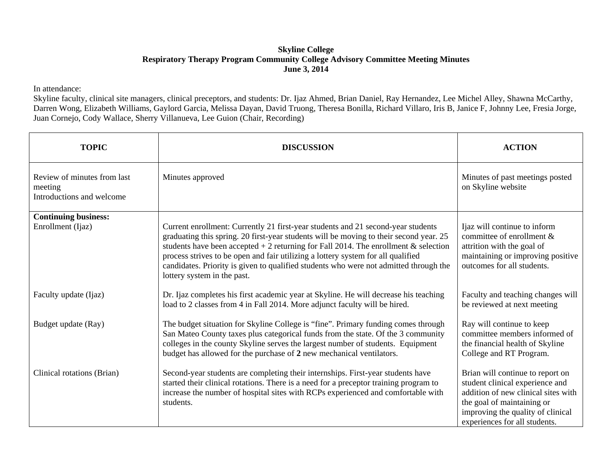## **Skyline College Respiratory Therapy Program Community College Advisory Committee Meeting Minutes June 3, 2014**

## In attendance:

Skyline faculty, clinical site managers, clinical preceptors, and students: Dr. Ijaz Ahmed, Brian Daniel, Ray Hernandez, Lee Michel Alley, Shawna McCarthy, Darren Wong, Elizabeth Williams, Gaylord Garcia, Melissa Dayan, David Truong, Theresa Bonilla, Richard Villaro, Iris B, Janice F, Johnny Lee, Fresia Jorge, Juan Cornejo, Cody Wallace, Sherry Villanueva, Lee Guion (Chair, Recording)

| <b>TOPIC</b>                                                        | <b>DISCUSSION</b>                                                                                                                                                                                                                                                                                                                                                                                                                                                              | <b>ACTION</b>                                                                                                                                                                                                  |
|---------------------------------------------------------------------|--------------------------------------------------------------------------------------------------------------------------------------------------------------------------------------------------------------------------------------------------------------------------------------------------------------------------------------------------------------------------------------------------------------------------------------------------------------------------------|----------------------------------------------------------------------------------------------------------------------------------------------------------------------------------------------------------------|
| Review of minutes from last<br>meeting<br>Introductions and welcome | Minutes approved                                                                                                                                                                                                                                                                                                                                                                                                                                                               | Minutes of past meetings posted<br>on Skyline website                                                                                                                                                          |
| <b>Continuing business:</b><br>Enrollment (Ijaz)                    | Current enrollment: Currently 21 first-year students and 21 second-year students<br>graduating this spring. 20 first-year students will be moving to their second year. 25<br>students have been accepted $+2$ returning for Fall 2014. The enrollment & selection<br>process strives to be open and fair utilizing a lottery system for all qualified<br>candidates. Priority is given to qualified students who were not admitted through the<br>lottery system in the past. | Ijaz will continue to inform<br>committee of enrollment $\&$<br>attrition with the goal of<br>maintaining or improving positive<br>outcomes for all students.                                                  |
| Faculty update (Ijaz)                                               | Dr. Ijaz completes his first academic year at Skyline. He will decrease his teaching<br>load to 2 classes from 4 in Fall 2014. More adjunct faculty will be hired.                                                                                                                                                                                                                                                                                                             | Faculty and teaching changes will<br>be reviewed at next meeting                                                                                                                                               |
| Budget update (Ray)                                                 | The budget situation for Skyline College is "fine". Primary funding comes through<br>San Mateo County taxes plus categorical funds from the state. Of the 3 community<br>colleges in the county Skyline serves the largest number of students. Equipment<br>budget has allowed for the purchase of 2 new mechanical ventilators.                                                                                                                                               | Ray will continue to keep<br>committee members informed of<br>the financial health of Skyline<br>College and RT Program.                                                                                       |
| Clinical rotations (Brian)                                          | Second-year students are completing their internships. First-year students have<br>started their clinical rotations. There is a need for a preceptor training program to<br>increase the number of hospital sites with RCPs experienced and comfortable with<br>students.                                                                                                                                                                                                      | Brian will continue to report on<br>student clinical experience and<br>addition of new clinical sites with<br>the goal of maintaining or<br>improving the quality of clinical<br>experiences for all students. |